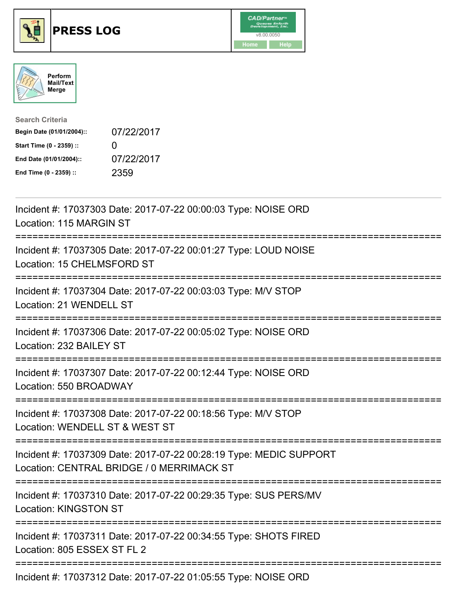





| <b>Search Criteria</b>    |              |
|---------------------------|--------------|
| Begin Date (01/01/2004):: | 07/22/2017   |
| Start Time (0 - 2359) ::  | $\mathbf{I}$ |
| End Date (01/01/2004)::   | 07/22/2017   |
| End Time (0 - 2359) ::    | 2359         |

| Incident #: 17037303 Date: 2017-07-22 00:00:03 Type: NOISE ORD<br>Location: 115 MARGIN ST                                                               |
|---------------------------------------------------------------------------------------------------------------------------------------------------------|
| Incident #: 17037305 Date: 2017-07-22 00:01:27 Type: LOUD NOISE<br>Location: 15 CHELMSFORD ST                                                           |
| Incident #: 17037304 Date: 2017-07-22 00:03:03 Type: M/V STOP<br>Location: 21 WENDELL ST                                                                |
| Incident #: 17037306 Date: 2017-07-22 00:05:02 Type: NOISE ORD<br>Location: 232 BAILEY ST                                                               |
| Incident #: 17037307 Date: 2017-07-22 00:12:44 Type: NOISE ORD<br>Location: 550 BROADWAY<br>;===============================                            |
| Incident #: 17037308 Date: 2017-07-22 00:18:56 Type: M/V STOP<br>Location: WENDELL ST & WEST ST<br>;========================                            |
| Incident #: 17037309 Date: 2017-07-22 00:28:19 Type: MEDIC SUPPORT<br>Location: CENTRAL BRIDGE / 0 MERRIMACK ST<br>;=================================== |
| Incident #: 17037310 Date: 2017-07-22 00:29:35 Type: SUS PERS/MV<br><b>Location: KINGSTON ST</b>                                                        |
| Incident #: 17037311 Date: 2017-07-22 00:34:55 Type: SHOTS FIRED<br>Location: 805 ESSEX ST FL 2                                                         |
| Incident #: 17037312 Date: 2017-07-22 01:05:55 Type: NOISE ORD                                                                                          |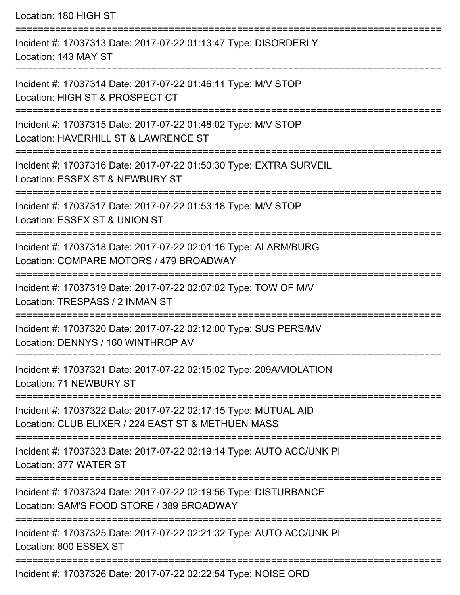| Location: 180 HIGH ST                                                                                                                                                    |
|--------------------------------------------------------------------------------------------------------------------------------------------------------------------------|
| Incident #: 17037313 Date: 2017-07-22 01:13:47 Type: DISORDERLY<br>Location: 143 MAY ST                                                                                  |
| Incident #: 17037314 Date: 2017-07-22 01:46:11 Type: M/V STOP<br>Location: HIGH ST & PROSPECT CT<br>:===============================                                     |
| Incident #: 17037315 Date: 2017-07-22 01:48:02 Type: M/V STOP<br>Location: HAVERHILL ST & LAWRENCE ST                                                                    |
| Incident #: 17037316 Date: 2017-07-22 01:50:30 Type: EXTRA SURVEIL<br>Location: ESSEX ST & NEWBURY ST                                                                    |
| =================<br>Incident #: 17037317 Date: 2017-07-22 01:53:18 Type: M/V STOP<br>Location: ESSEX ST & UNION ST                                                      |
| Incident #: 17037318 Date: 2017-07-22 02:01:16 Type: ALARM/BURG<br>Location: COMPARE MOTORS / 479 BROADWAY                                                               |
| ====================================<br>==========================<br>Incident #: 17037319 Date: 2017-07-22 02:07:02 Type: TOW OF M/V<br>Location: TRESPASS / 2 INMAN ST |
| Incident #: 17037320 Date: 2017-07-22 02:12:00 Type: SUS PERS/MV<br>Location: DENNYS / 160 WINTHROP AV                                                                   |
| Incident #: 17037321 Date: 2017-07-22 02:15:02 Type: 209A/VIOLATION<br><b>Location: 71 NEWBURY ST</b>                                                                    |
| Incident #: 17037322 Date: 2017-07-22 02:17:15 Type: MUTUAL AID<br>Location: CLUB ELIXER / 224 EAST ST & METHUEN MASS                                                    |
| Incident #: 17037323 Date: 2017-07-22 02:19:14 Type: AUTO ACC/UNK PI<br>Location: 377 WATER ST                                                                           |
| Incident #: 17037324 Date: 2017-07-22 02:19:56 Type: DISTURBANCE<br>Location: SAM'S FOOD STORE / 389 BROADWAY                                                            |
| Incident #: 17037325 Date: 2017-07-22 02:21:32 Type: AUTO ACC/UNK PI<br>Location: 800 ESSEX ST                                                                           |
| Incident #: 17037326 Date: 2017-07-22 02:22:54 Type: NOISE ORD                                                                                                           |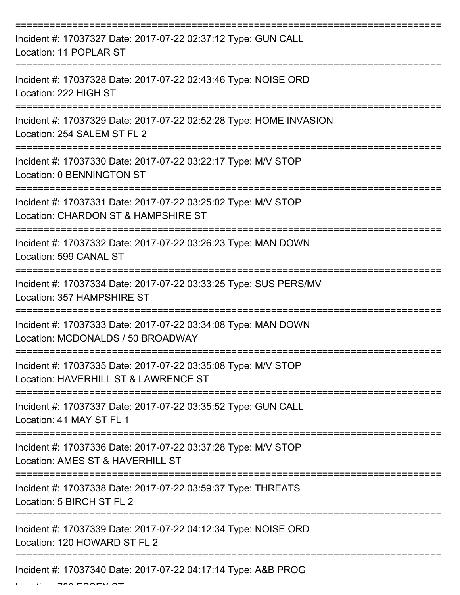| Incident #: 17037327 Date: 2017-07-22 02:37:12 Type: GUN CALL<br>Location: 11 POPLAR ST               |
|-------------------------------------------------------------------------------------------------------|
| Incident #: 17037328 Date: 2017-07-22 02:43:46 Type: NOISE ORD<br>Location: 222 HIGH ST               |
| Incident #: 17037329 Date: 2017-07-22 02:52:28 Type: HOME INVASION<br>Location: 254 SALEM ST FL 2     |
| Incident #: 17037330 Date: 2017-07-22 03:22:17 Type: M/V STOP<br>Location: 0 BENNINGTON ST            |
| Incident #: 17037331 Date: 2017-07-22 03:25:02 Type: M/V STOP<br>Location: CHARDON ST & HAMPSHIRE ST  |
| Incident #: 17037332 Date: 2017-07-22 03:26:23 Type: MAN DOWN<br>Location: 599 CANAL ST               |
| Incident #: 17037334 Date: 2017-07-22 03:33:25 Type: SUS PERS/MV<br>Location: 357 HAMPSHIRE ST        |
| Incident #: 17037333 Date: 2017-07-22 03:34:08 Type: MAN DOWN<br>Location: MCDONALDS / 50 BROADWAY    |
| Incident #: 17037335 Date: 2017-07-22 03:35:08 Type: M/V STOP<br>Location: HAVERHILL ST & LAWRENCE ST |
| Incident #: 17037337 Date: 2017-07-22 03:35:52 Type: GUN CALL<br>Location: 41 MAY ST FL 1             |
| Incident #: 17037336 Date: 2017-07-22 03:37:28 Type: M/V STOP<br>Location: AMES ST & HAVERHILL ST     |
| Incident #: 17037338 Date: 2017-07-22 03:59:37 Type: THREATS<br>Location: 5 BIRCH ST FL 2             |
| Incident #: 17037339 Date: 2017-07-22 04:12:34 Type: NOISE ORD<br>Location: 120 HOWARD ST FL 2        |
| Incident #: 17037340 Date: 2017-07-22 04:17:14 Type: A&B PROG                                         |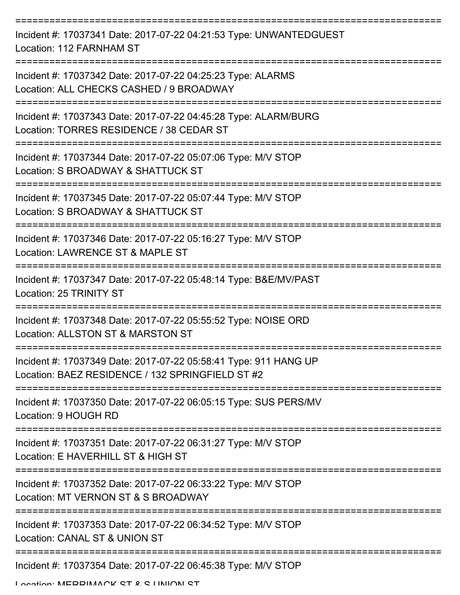| Incident #: 17037341 Date: 2017-07-22 04:21:53 Type: UNWANTEDGUEST<br>Location: 112 FARNHAM ST                           |
|--------------------------------------------------------------------------------------------------------------------------|
| Incident #: 17037342 Date: 2017-07-22 04:25:23 Type: ALARMS<br>Location: ALL CHECKS CASHED / 9 BROADWAY                  |
| Incident #: 17037343 Date: 2017-07-22 04:45:28 Type: ALARM/BURG<br>Location: TORRES RESIDENCE / 38 CEDAR ST              |
| Incident #: 17037344 Date: 2017-07-22 05:07:06 Type: M/V STOP<br>Location: S BROADWAY & SHATTUCK ST                      |
| Incident #: 17037345 Date: 2017-07-22 05:07:44 Type: M/V STOP<br>Location: S BROADWAY & SHATTUCK ST<br>================= |
| Incident #: 17037346 Date: 2017-07-22 05:16:27 Type: M/V STOP<br>Location: LAWRENCE ST & MAPLE ST                        |
| Incident #: 17037347 Date: 2017-07-22 05:48:14 Type: B&E/MV/PAST<br>Location: 25 TRINITY ST                              |
| Incident #: 17037348 Date: 2017-07-22 05:55:52 Type: NOISE ORD<br>Location: ALLSTON ST & MARSTON ST                      |
| Incident #: 17037349 Date: 2017-07-22 05:58:41 Type: 911 HANG UP<br>Location: BAEZ RESIDENCE / 132 SPRINGFIELD ST #2     |
| Incident #: 17037350 Date: 2017-07-22 06:05:15 Type: SUS PERS/MV<br>Location: 9 HOUGH RD                                 |
| Incident #: 17037351 Date: 2017-07-22 06:31:27 Type: M/V STOP<br>Location: E HAVERHILL ST & HIGH ST                      |
| Incident #: 17037352 Date: 2017-07-22 06:33:22 Type: M/V STOP<br>Location: MT VERNON ST & S BROADWAY                     |
| Incident #: 17037353 Date: 2017-07-22 06:34:52 Type: M/V STOP<br>Location: CANAL ST & UNION ST                           |
| Incident #: 17037354 Date: 2017-07-22 06:45:38 Type: M/V STOP                                                            |

Location: MEDDIMACK CT & C LINIION CT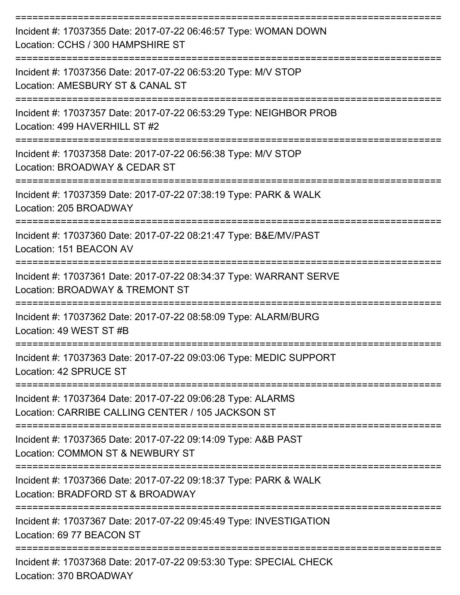| Incident #: 17037355 Date: 2017-07-22 06:46:57 Type: WOMAN DOWN<br>Location: CCHS / 300 HAMPSHIRE ST             |
|------------------------------------------------------------------------------------------------------------------|
| Incident #: 17037356 Date: 2017-07-22 06:53:20 Type: M/V STOP<br>Location: AMESBURY ST & CANAL ST                |
| Incident #: 17037357 Date: 2017-07-22 06:53:29 Type: NEIGHBOR PROB<br>Location: 499 HAVERHILL ST #2              |
| Incident #: 17037358 Date: 2017-07-22 06:56:38 Type: M/V STOP<br>Location: BROADWAY & CEDAR ST                   |
| Incident #: 17037359 Date: 2017-07-22 07:38:19 Type: PARK & WALK<br>Location: 205 BROADWAY                       |
| Incident #: 17037360 Date: 2017-07-22 08:21:47 Type: B&E/MV/PAST<br>Location: 151 BEACON AV<br>----------------  |
| Incident #: 17037361 Date: 2017-07-22 08:34:37 Type: WARRANT SERVE<br>Location: BROADWAY & TREMONT ST            |
| Incident #: 17037362 Date: 2017-07-22 08:58:09 Type: ALARM/BURG<br>Location: 49 WEST ST #B                       |
| Incident #: 17037363 Date: 2017-07-22 09:03:06 Type: MEDIC SUPPORT<br>Location: 42 SPRUCE ST                     |
| Incident #: 17037364 Date: 2017-07-22 09:06:28 Type: ALARMS<br>Location: CARRIBE CALLING CENTER / 105 JACKSON ST |
| Incident #: 17037365 Date: 2017-07-22 09:14:09 Type: A&B PAST<br>Location: COMMON ST & NEWBURY ST                |
| Incident #: 17037366 Date: 2017-07-22 09:18:37 Type: PARK & WALK<br>Location: BRADFORD ST & BROADWAY             |
| Incident #: 17037367 Date: 2017-07-22 09:45:49 Type: INVESTIGATION<br>Location: 69 77 BEACON ST                  |
| Incident #: 17037368 Date: 2017-07-22 09:53:30 Type: SPECIAL CHECK                                               |

Location: 370 BROADWAY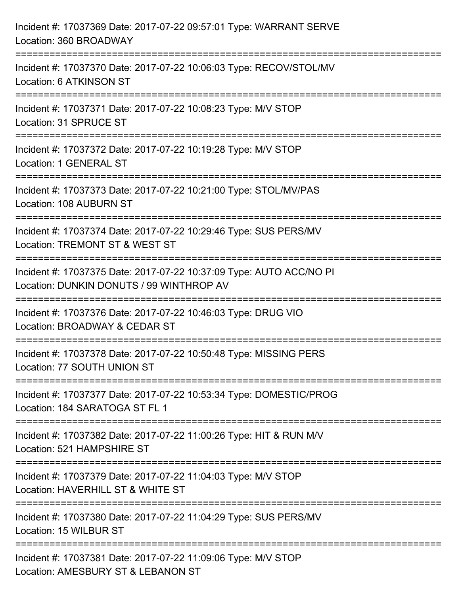| Incident #: 17037369 Date: 2017-07-22 09:57:01 Type: WARRANT SERVE<br>Location: 360 BROADWAY                                         |
|--------------------------------------------------------------------------------------------------------------------------------------|
| ===================================<br>Incident #: 17037370 Date: 2017-07-22 10:06:03 Type: RECOV/STOL/MV<br>Location: 6 ATKINSON ST |
| Incident #: 17037371 Date: 2017-07-22 10:08:23 Type: M/V STOP<br>Location: 31 SPRUCE ST                                              |
| Incident #: 17037372 Date: 2017-07-22 10:19:28 Type: M/V STOP<br>Location: 1 GENERAL ST                                              |
| Incident #: 17037373 Date: 2017-07-22 10:21:00 Type: STOL/MV/PAS<br>Location: 108 AUBURN ST                                          |
| Incident #: 17037374 Date: 2017-07-22 10:29:46 Type: SUS PERS/MV<br>Location: TREMONT ST & WEST ST                                   |
| Incident #: 17037375 Date: 2017-07-22 10:37:09 Type: AUTO ACC/NO PI<br>Location: DUNKIN DONUTS / 99 WINTHROP AV                      |
| Incident #: 17037376 Date: 2017-07-22 10:46:03 Type: DRUG VIO<br>Location: BROADWAY & CEDAR ST                                       |
| Incident #: 17037378 Date: 2017-07-22 10:50:48 Type: MISSING PERS<br>Location: 77 SOUTH UNION ST                                     |
| Incident #: 17037377 Date: 2017-07-22 10:53:34 Type: DOMESTIC/PROG<br>Location: 184 SARATOGA ST FL 1                                 |
| Incident #: 17037382 Date: 2017-07-22 11:00:26 Type: HIT & RUN M/V<br>Location: 521 HAMPSHIRE ST                                     |
| Incident #: 17037379 Date: 2017-07-22 11:04:03 Type: M/V STOP<br>Location: HAVERHILL ST & WHITE ST                                   |
| Incident #: 17037380 Date: 2017-07-22 11:04:29 Type: SUS PERS/MV<br>Location: 15 WILBUR ST                                           |
| Incident #: 17037381 Date: 2017-07-22 11:09:06 Type: M/V STOP<br>Location: AMESBURY ST & LEBANON ST                                  |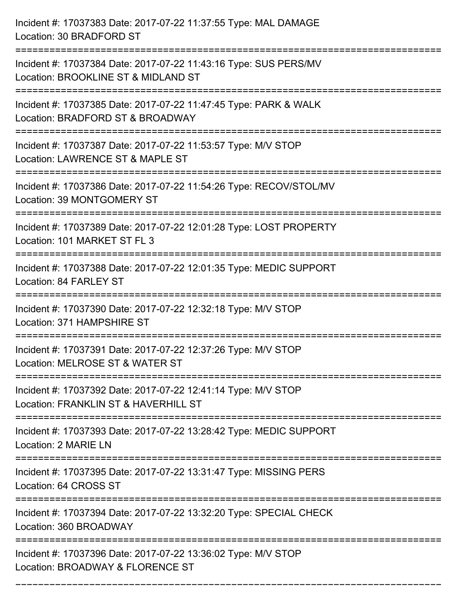| Incident #: 17037383 Date: 2017-07-22 11:37:55 Type: MAL DAMAGE<br>Location: 30 BRADFORD ST             |
|---------------------------------------------------------------------------------------------------------|
| Incident #: 17037384 Date: 2017-07-22 11:43:16 Type: SUS PERS/MV<br>Location: BROOKLINE ST & MIDLAND ST |
| Incident #: 17037385 Date: 2017-07-22 11:47:45 Type: PARK & WALK<br>Location: BRADFORD ST & BROADWAY    |
| Incident #: 17037387 Date: 2017-07-22 11:53:57 Type: M/V STOP<br>Location: LAWRENCE ST & MAPLE ST       |
| Incident #: 17037386 Date: 2017-07-22 11:54:26 Type: RECOV/STOL/MV<br>Location: 39 MONTGOMERY ST        |
| Incident #: 17037389 Date: 2017-07-22 12:01:28 Type: LOST PROPERTY<br>Location: 101 MARKET ST FL 3      |
| Incident #: 17037388 Date: 2017-07-22 12:01:35 Type: MEDIC SUPPORT<br>Location: 84 FARLEY ST            |
| Incident #: 17037390 Date: 2017-07-22 12:32:18 Type: M/V STOP<br>Location: 371 HAMPSHIRE ST             |
| Incident #: 17037391 Date: 2017-07-22 12:37:26 Type: M/V STOP<br>Location: MELROSE ST & WATER ST        |
| Incident #: 17037392 Date: 2017-07-22 12:41:14 Type: M/V STOP<br>Location: FRANKLIN ST & HAVERHILL ST   |
| Incident #: 17037393 Date: 2017-07-22 13:28:42 Type: MEDIC SUPPORT<br>Location: 2 MARIE LN              |
| Incident #: 17037395 Date: 2017-07-22 13:31:47 Type: MISSING PERS<br>Location: 64 CROSS ST              |
| Incident #: 17037394 Date: 2017-07-22 13:32:20 Type: SPECIAL CHECK<br>Location: 360 BROADWAY            |
| Incident #: 17037396 Date: 2017-07-22 13:36:02 Type: M/V STOP<br>Location: BROADWAY & FLORENCE ST       |

===========================================================================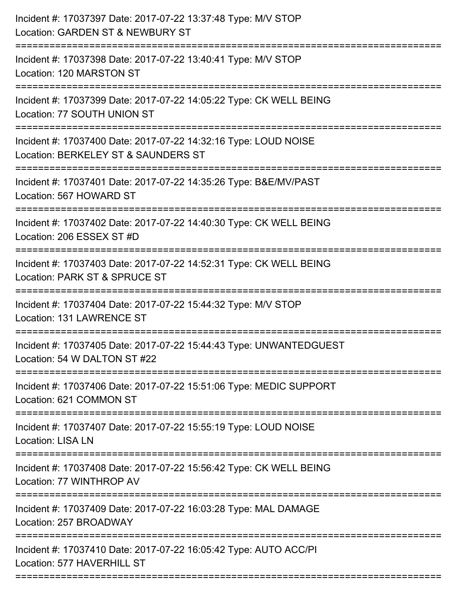| Incident #: 17037397 Date: 2017-07-22 13:37:48 Type: M/V STOP<br>Location: GARDEN ST & NEWBURY ST<br>========================    |
|----------------------------------------------------------------------------------------------------------------------------------|
| Incident #: 17037398 Date: 2017-07-22 13:40:41 Type: M/V STOP<br>Location: 120 MARSTON ST                                        |
| Incident #: 17037399 Date: 2017-07-22 14:05:22 Type: CK WELL BEING<br>Location: 77 SOUTH UNION ST                                |
| Incident #: 17037400 Date: 2017-07-22 14:32:16 Type: LOUD NOISE<br>Location: BERKELEY ST & SAUNDERS ST<br>====================== |
| Incident #: 17037401 Date: 2017-07-22 14:35:26 Type: B&E/MV/PAST<br>Location: 567 HOWARD ST                                      |
| Incident #: 17037402 Date: 2017-07-22 14:40:30 Type: CK WELL BEING<br>Location: 206 ESSEX ST #D                                  |
| Incident #: 17037403 Date: 2017-07-22 14:52:31 Type: CK WELL BEING<br>Location: PARK ST & SPRUCE ST                              |
| Incident #: 17037404 Date: 2017-07-22 15:44:32 Type: M/V STOP<br>Location: 131 LAWRENCE ST                                       |
| Incident #: 17037405 Date: 2017-07-22 15:44:43 Type: UNWANTEDGUEST<br>Location: 54 W DALTON ST #22                               |
| Incident #: 17037406 Date: 2017-07-22 15:51:06 Type: MEDIC SUPPORT<br>Location: 621 COMMON ST                                    |
| Incident #: 17037407 Date: 2017-07-22 15:55:19 Type: LOUD NOISE<br><b>Location: LISA LN</b>                                      |
| Incident #: 17037408 Date: 2017-07-22 15:56:42 Type: CK WELL BEING<br>Location: 77 WINTHROP AV                                   |
| Incident #: 17037409 Date: 2017-07-22 16:03:28 Type: MAL DAMAGE<br>Location: 257 BROADWAY                                        |
| Incident #: 17037410 Date: 2017-07-22 16:05:42 Type: AUTO ACC/PI<br>Location: 577 HAVERHILL ST                                   |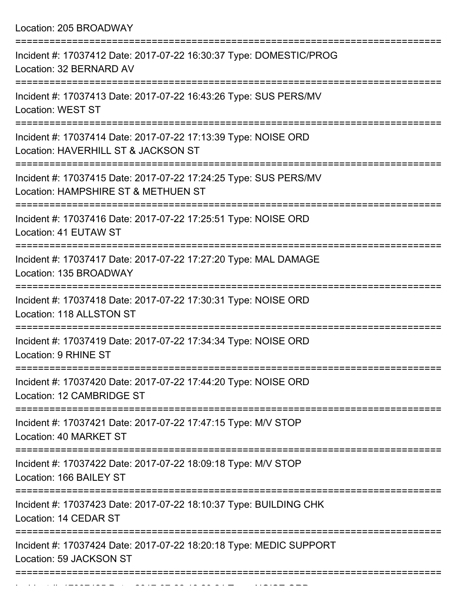Location: 205 BROADWAY

Incident #: 17037425 Date: 2017 07 22 18:20:24 Type: NOISE ORD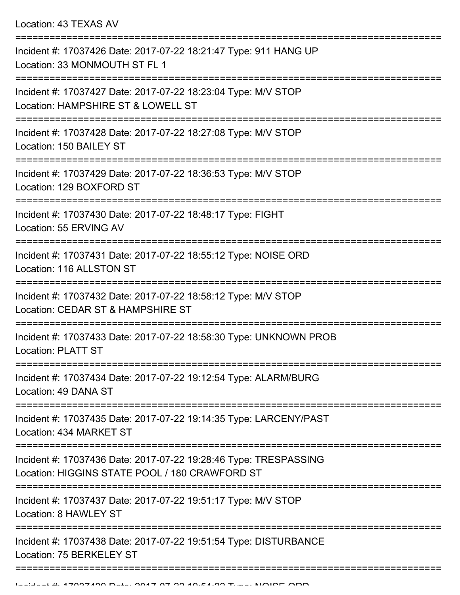Location: 43 TEXAS AV

| Incident #: 17037426 Date: 2017-07-22 18:21:47 Type: 911 HANG UP<br>Location: 33 MONMOUTH ST FL 1                   |
|---------------------------------------------------------------------------------------------------------------------|
| Incident #: 17037427 Date: 2017-07-22 18:23:04 Type: M/V STOP<br>Location: HAMPSHIRE ST & LOWELL ST                 |
| Incident #: 17037428 Date: 2017-07-22 18:27:08 Type: M/V STOP<br>Location: 150 BAILEY ST                            |
| Incident #: 17037429 Date: 2017-07-22 18:36:53 Type: M/V STOP<br>Location: 129 BOXFORD ST                           |
| Incident #: 17037430 Date: 2017-07-22 18:48:17 Type: FIGHT<br>Location: 55 ERVING AV                                |
| Incident #: 17037431 Date: 2017-07-22 18:55:12 Type: NOISE ORD<br>Location: 116 ALLSTON ST                          |
| Incident #: 17037432 Date: 2017-07-22 18:58:12 Type: M/V STOP<br>Location: CEDAR ST & HAMPSHIRE ST                  |
| Incident #: 17037433 Date: 2017-07-22 18:58:30 Type: UNKNOWN PROB<br>Location: PLATT ST                             |
| Incident #: 17037434 Date: 2017-07-22 19:12:54 Type: ALARM/BURG<br>Location: 49 DANA ST                             |
| :==================<br>Incident #: 17037435 Date: 2017-07-22 19:14:35 Type: LARCENY/PAST<br>Location: 434 MARKET ST |
| Incident #: 17037436 Date: 2017-07-22 19:28:46 Type: TRESPASSING<br>Location: HIGGINS STATE POOL / 180 CRAWFORD ST  |
| Incident #: 17037437 Date: 2017-07-22 19:51:17 Type: M/V STOP<br>Location: 8 HAWLEY ST                              |
| Incident #: 17037438 Date: 2017-07-22 19:51:54 Type: DISTURBANCE<br>Location: 75 BERKELEY ST                        |
|                                                                                                                     |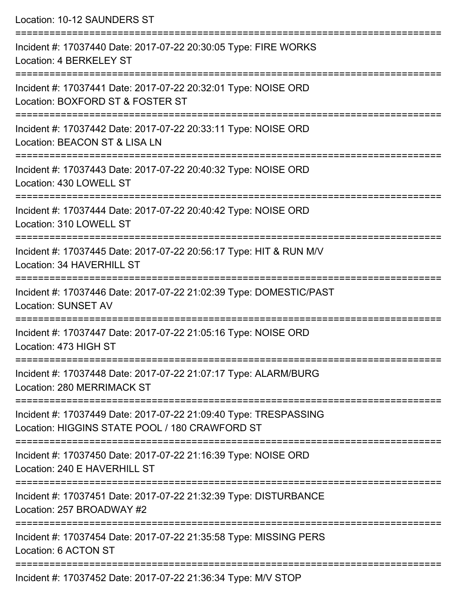| Location: 10-12 SAUNDERS ST                                                                                                                                           |
|-----------------------------------------------------------------------------------------------------------------------------------------------------------------------|
| Incident #: 17037440 Date: 2017-07-22 20:30:05 Type: FIRE WORKS<br>Location: 4 BERKELEY ST<br>====================================<br>------------------------------- |
| Incident #: 17037441 Date: 2017-07-22 20:32:01 Type: NOISE ORD<br>Location: BOXFORD ST & FOSTER ST                                                                    |
| Incident #: 17037442 Date: 2017-07-22 20:33:11 Type: NOISE ORD<br>Location: BEACON ST & LISA LN                                                                       |
| Incident #: 17037443 Date: 2017-07-22 20:40:32 Type: NOISE ORD<br>Location: 430 LOWELL ST                                                                             |
| Incident #: 17037444 Date: 2017-07-22 20:40:42 Type: NOISE ORD<br>Location: 310 LOWELL ST                                                                             |
| Incident #: 17037445 Date: 2017-07-22 20:56:17 Type: HIT & RUN M/V<br>Location: 34 HAVERHILL ST                                                                       |
| Incident #: 17037446 Date: 2017-07-22 21:02:39 Type: DOMESTIC/PAST<br><b>Location: SUNSET AV</b>                                                                      |
| Incident #: 17037447 Date: 2017-07-22 21:05:16 Type: NOISE ORD<br>Location: 473 HIGH ST                                                                               |
| Incident #: 17037448 Date: 2017-07-22 21:07:17 Type: ALARM/BURG<br>Location: 280 MERRIMACK ST                                                                         |
| Incident #: 17037449 Date: 2017-07-22 21:09:40 Type: TRESPASSING<br>Location: HIGGINS STATE POOL / 180 CRAWFORD ST                                                    |
| Incident #: 17037450 Date: 2017-07-22 21:16:39 Type: NOISE ORD<br>Location: 240 E HAVERHILL ST                                                                        |
| Incident #: 17037451 Date: 2017-07-22 21:32:39 Type: DISTURBANCE<br>Location: 257 BROADWAY #2                                                                         |
| Incident #: 17037454 Date: 2017-07-22 21:35:58 Type: MISSING PERS<br>Location: 6 ACTON ST                                                                             |
|                                                                                                                                                                       |

Incident #: 17037452 Date: 2017-07-22 21:36:34 Type: M/V STOP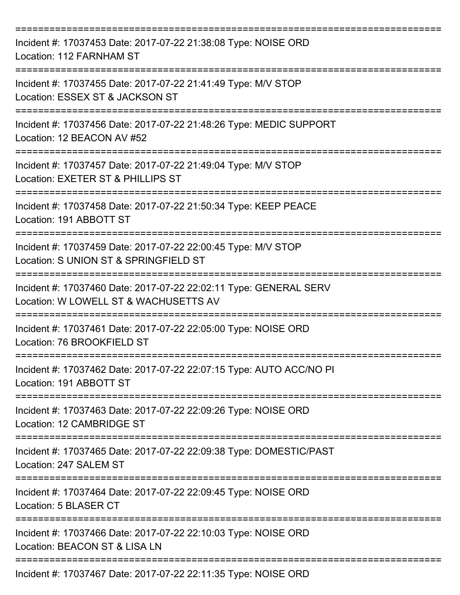| Incident #: 17037453 Date: 2017-07-22 21:38:08 Type: NOISE ORD<br>Location: 112 FARNHAM ST                 |
|------------------------------------------------------------------------------------------------------------|
| Incident #: 17037455 Date: 2017-07-22 21:41:49 Type: M/V STOP<br>Location: ESSEX ST & JACKSON ST           |
| Incident #: 17037456 Date: 2017-07-22 21:48:26 Type: MEDIC SUPPORT<br>Location: 12 BEACON AV #52           |
| Incident #: 17037457 Date: 2017-07-22 21:49:04 Type: M/V STOP<br>Location: EXETER ST & PHILLIPS ST         |
| Incident #: 17037458 Date: 2017-07-22 21:50:34 Type: KEEP PEACE<br>Location: 191 ABBOTT ST                 |
| Incident #: 17037459 Date: 2017-07-22 22:00:45 Type: M/V STOP<br>Location: S UNION ST & SPRINGFIELD ST     |
| Incident #: 17037460 Date: 2017-07-22 22:02:11 Type: GENERAL SERV<br>Location: W LOWELL ST & WACHUSETTS AV |
| Incident #: 17037461 Date: 2017-07-22 22:05:00 Type: NOISE ORD<br>Location: 76 BROOKFIELD ST               |
| Incident #: 17037462 Date: 2017-07-22 22:07:15 Type: AUTO ACC/NO PI<br>Location: 191 ABBOTT ST             |
| Incident #: 17037463 Date: 2017-07-22 22:09:26 Type: NOISE ORD<br>Location: 12 CAMBRIDGE ST                |
| Incident #: 17037465 Date: 2017-07-22 22:09:38 Type: DOMESTIC/PAST<br>Location: 247 SALEM ST               |
| Incident #: 17037464 Date: 2017-07-22 22:09:45 Type: NOISE ORD<br>Location: 5 BLASER CT                    |
| Incident #: 17037466 Date: 2017-07-22 22:10:03 Type: NOISE ORD<br>Location: BEACON ST & LISA LN            |
| Incident #: 17037467 Date: 2017-07-22 22:11:35 Type: NOISE ORD                                             |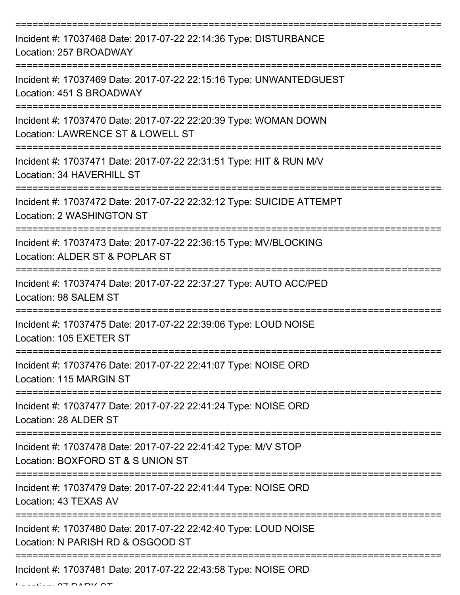| Incident #: 17037468 Date: 2017-07-22 22:14:36 Type: DISTURBANCE<br>Location: 257 BROADWAY               |
|----------------------------------------------------------------------------------------------------------|
| Incident #: 17037469 Date: 2017-07-22 22:15:16 Type: UNWANTEDGUEST<br>Location: 451 S BROADWAY           |
| Incident #: 17037470 Date: 2017-07-22 22:20:39 Type: WOMAN DOWN<br>Location: LAWRENCE ST & LOWELL ST     |
| Incident #: 17037471 Date: 2017-07-22 22:31:51 Type: HIT & RUN M/V<br>Location: 34 HAVERHILL ST          |
| Incident #: 17037472 Date: 2017-07-22 22:32:12 Type: SUICIDE ATTEMPT<br><b>Location: 2 WASHINGTON ST</b> |
| Incident #: 17037473 Date: 2017-07-22 22:36:15 Type: MV/BLOCKING<br>Location: ALDER ST & POPLAR ST       |
| Incident #: 17037474 Date: 2017-07-22 22:37:27 Type: AUTO ACC/PED<br>Location: 98 SALEM ST               |
| Incident #: 17037475 Date: 2017-07-22 22:39:06 Type: LOUD NOISE<br>Location: 105 EXETER ST               |
| Incident #: 17037476 Date: 2017-07-22 22:41:07 Type: NOISE ORD<br>Location: 115 MARGIN ST                |
| Incident #: 17037477 Date: 2017-07-22 22:41:24 Type: NOISE ORD<br>Location: 28 ALDER ST                  |
| Incident #: 17037478 Date: 2017-07-22 22:41:42 Type: M/V STOP<br>Location: BOXFORD ST & S UNION ST       |
| Incident #: 17037479 Date: 2017-07-22 22:41:44 Type: NOISE ORD<br>Location: 43 TEXAS AV                  |
| Incident #: 17037480 Date: 2017-07-22 22:42:40 Type: LOUD NOISE<br>Location: N PARISH RD & OSGOOD ST     |
| Incident #: 17037481 Date: 2017-07-22 22:43:58 Type: NOISE ORD                                           |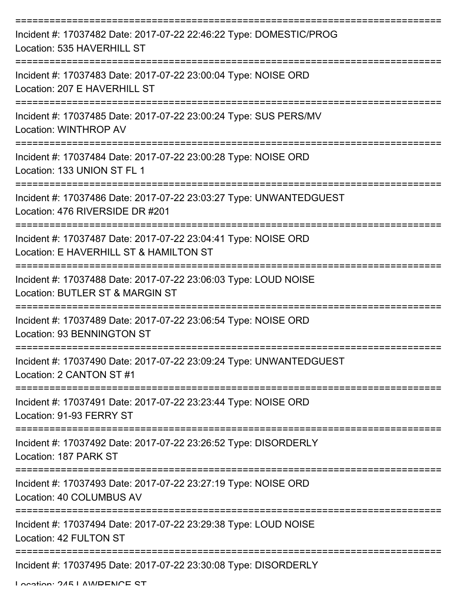| Incident #: 17037482 Date: 2017-07-22 22:46:22 Type: DOMESTIC/PROG<br>Location: 535 HAVERHILL ST         |
|----------------------------------------------------------------------------------------------------------|
| Incident #: 17037483 Date: 2017-07-22 23:00:04 Type: NOISE ORD<br>Location: 207 E HAVERHILL ST           |
| Incident #: 17037485 Date: 2017-07-22 23:00:24 Type: SUS PERS/MV<br>Location: WINTHROP AV                |
| Incident #: 17037484 Date: 2017-07-22 23:00:28 Type: NOISE ORD<br>Location: 133 UNION ST FL 1            |
| Incident #: 17037486 Date: 2017-07-22 23:03:27 Type: UNWANTEDGUEST<br>Location: 476 RIVERSIDE DR #201    |
| Incident #: 17037487 Date: 2017-07-22 23:04:41 Type: NOISE ORD<br>Location: E HAVERHILL ST & HAMILTON ST |
| Incident #: 17037488 Date: 2017-07-22 23:06:03 Type: LOUD NOISE<br>Location: BUTLER ST & MARGIN ST       |
| Incident #: 17037489 Date: 2017-07-22 23:06:54 Type: NOISE ORD<br>Location: 93 BENNINGTON ST             |
| Incident #: 17037490 Date: 2017-07-22 23:09:24 Type: UNWANTEDGUEST<br>Location: 2 CANTON ST #1           |
| Incident #: 17037491 Date: 2017-07-22 23:23:44 Type: NOISE ORD<br>Location: 91-93 FERRY ST               |
| Incident #: 17037492 Date: 2017-07-22 23:26:52 Type: DISORDERLY<br>Location: 187 PARK ST                 |
| Incident #: 17037493 Date: 2017-07-22 23:27:19 Type: NOISE ORD<br>Location: 40 COLUMBUS AV               |
| Incident #: 17037494 Date: 2017-07-22 23:29:38 Type: LOUD NOISE<br>Location: 42 FULTON ST                |
| Incident #: 17037495 Date: 2017-07-22 23:30:08 Type: DISORDERLY                                          |

Location: 245 LAWRENCE ST